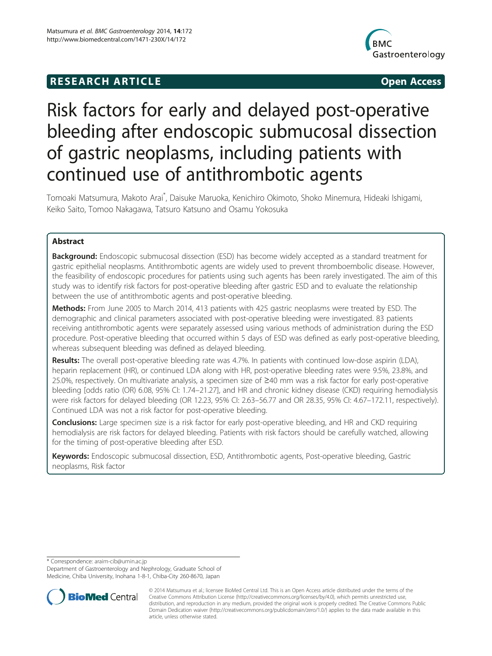# **RESEARCH ARTICLE CONSUMING A RESEARCH ARTICLE**



# Risk factors for early and delayed post-operative bleeding after endoscopic submucosal dissection of gastric neoplasms, including patients with continued use of antithrombotic agents

Tomoaki Matsumura, Makoto Arai<sup>\*</sup>, Daisuke Maruoka, Kenichiro Okimoto, Shoko Minemura, Hideaki Ishigami, Keiko Saito, Tomoo Nakagawa, Tatsuro Katsuno and Osamu Yokosuka

# Abstract

**Background:** Endoscopic submucosal dissection (ESD) has become widely accepted as a standard treatment for gastric epithelial neoplasms. Antithrombotic agents are widely used to prevent thromboembolic disease. However, the feasibility of endoscopic procedures for patients using such agents has been rarely investigated. The aim of this study was to identify risk factors for post-operative bleeding after gastric ESD and to evaluate the relationship between the use of antithrombotic agents and post-operative bleeding.

Methods: From June 2005 to March 2014, 413 patients with 425 gastric neoplasms were treated by ESD. The demographic and clinical parameters associated with post-operative bleeding were investigated. 83 patients receiving antithrombotic agents were separately assessed using various methods of administration during the ESD procedure. Post-operative bleeding that occurred within 5 days of ESD was defined as early post-operative bleeding, whereas subsequent bleeding was defined as delayed bleeding.

Results: The overall post-operative bleeding rate was 4.7%. In patients with continued low-dose aspirin (LDA), heparin replacement (HR), or continued LDA along with HR, post-operative bleeding rates were 9.5%, 23.8%, and 25.0%, respectively. On multivariate analysis, a specimen size of ≥40 mm was a risk factor for early post-operative bleeding [odds ratio (OR) 6.08, 95% CI: 1.74–21.27], and HR and chronic kidney disease (CKD) requiring hemodialysis were risk factors for delayed bleeding (OR 12.23, 95% CI: 2.63–56.77 and OR 28.35, 95% CI: 4.67–172.11, respectively). Continued LDA was not a risk factor for post-operative bleeding.

Conclusions: Large specimen size is a risk factor for early post-operative bleeding, and HR and CKD requiring hemodialysis are risk factors for delayed bleeding. Patients with risk factors should be carefully watched, allowing for the timing of post-operative bleeding after ESD.

Keywords: Endoscopic submucosal dissection, ESD, Antithrombotic agents, Post-operative bleeding, Gastric neoplasms, Risk factor

\* Correspondence: [araim-cib@umin.ac.jp](mailto:araim-cib@umin.ac.jp)

Department of Gastroenterology and Nephrology, Graduate School of

Medicine, Chiba University, Inohana 1-8-1, Chiba-City 260-8670, Japan



<sup>© 2014</sup> Matsumura et al.; licensee BioMed Central Ltd. This is an Open Access article distributed under the terms of the Creative Commons Attribution License (<http://creativecommons.org/licenses/by/4.0>), which permits unrestricted use, distribution, and reproduction in any medium, provided the original work is properly credited. The Creative Commons Public Domain Dedication waiver [\(http://creativecommons.org/publicdomain/zero/1.0/\)](http://creativecommons.org/publicdomain/zero/1.0/) applies to the data made available in this article, unless otherwise stated.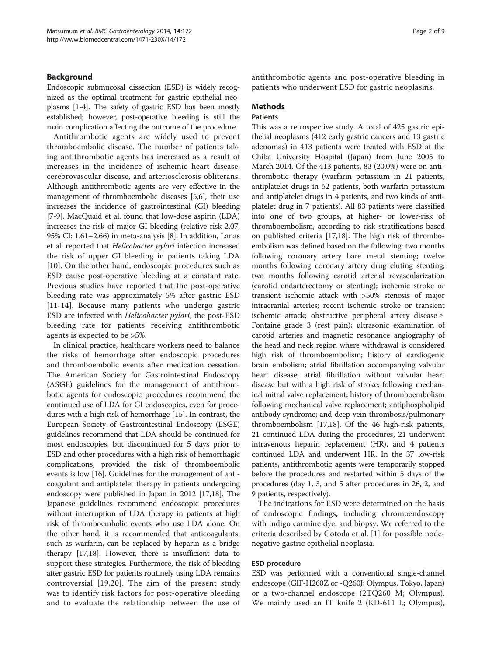## Background

Endoscopic submucosal dissection (ESD) is widely recognized as the optimal treatment for gastric epithelial neoplasms [\[1-4\]](#page-7-0). The safety of gastric ESD has been mostly established; however, post-operative bleeding is still the main complication affecting the outcome of the procedure.

Antithrombotic agents are widely used to prevent thromboembolic disease. The number of patients taking antithrombotic agents has increased as a result of increases in the incidence of ischemic heart disease, cerebrovascular disease, and arteriosclerosis obliterans. Although antithrombotic agents are very effective in the management of thromboembolic diseases [[5,6](#page-7-0)], their use increases the incidence of gastrointestinal (GI) bleeding [[7-9\]](#page-7-0). MacQuaid et al. found that low-dose aspirin (LDA) increases the risk of major GI bleeding (relative risk 2.07, 95% CI: 1.61–2.66) in meta-analysis [\[8](#page-7-0)]. In addition, Lanas et al. reported that Helicobacter pylori infection increased the risk of upper GI bleeding in patients taking LDA [[10](#page-7-0)]. On the other hand, endoscopic procedures such as ESD cause post-operative bleeding at a constant rate. Previous studies have reported that the post-operative bleeding rate was approximately 5% after gastric ESD [[11-14\]](#page-7-0). Because many patients who undergo gastric ESD are infected with Helicobacter pylori, the post-ESD bleeding rate for patients receiving antithrombotic agents is expected to be >5%.

In clinical practice, healthcare workers need to balance the risks of hemorrhage after endoscopic procedures and thromboembolic events after medication cessation. The American Society for Gastrointestinal Endoscopy (ASGE) guidelines for the management of antithrombotic agents for endoscopic procedures recommend the continued use of LDA for GI endoscopies, even for procedures with a high risk of hemorrhage [[15](#page-7-0)]. In contrast, the European Society of Gastrointestinal Endoscopy (ESGE) guidelines recommend that LDA should be continued for most endoscopies, but discontinued for 5 days prior to ESD and other procedures with a high risk of hemorrhagic complications, provided the risk of thromboembolic events is low [\[16\]](#page-7-0). Guidelines for the management of anticoagulant and antiplatelet therapy in patients undergoing endoscopy were published in Japan in 2012 [\[17,18](#page-7-0)]. The Japanese guidelines recommend endoscopic procedures without interruption of LDA therapy in patients at high risk of thromboembolic events who use LDA alone. On the other hand, it is recommended that anticoagulants, such as warfarin, can be replaced by heparin as a bridge therapy [[17,18\]](#page-7-0). However, there is insufficient data to support these strategies. Furthermore, the risk of bleeding after gastric ESD for patients routinely using LDA remains controversial [[19,20](#page-7-0)]. The aim of the present study was to identify risk factors for post-operative bleeding and to evaluate the relationship between the use of antithrombotic agents and post-operative bleeding in patients who underwent ESD for gastric neoplasms.

# **Methods**

#### **Patients**

This was a retrospective study. A total of 425 gastric epithelial neoplasms (412 early gastric cancers and 13 gastric adenomas) in 413 patients were treated with ESD at the Chiba University Hospital (Japan) from June 2005 to March 2014. Of the 413 patients, 83 (20.0%) were on antithrombotic therapy (warfarin potassium in 21 patients, antiplatelet drugs in 62 patients, both warfarin potassium and antiplatelet drugs in 4 patients, and two kinds of antiplatelet drug in 7 patients). All 83 patients were classified into one of two groups, at higher- or lower-risk of thromboembolism, according to risk stratifications based on published criteria [\[17,18](#page-7-0)]. The high risk of thromboembolism was defined based on the following: two months following coronary artery bare metal stenting; twelve months following coronary artery drug eluting stenting; two months following carotid arterial revascularization (carotid endarterectomy or stenting); ischemic stroke or transient ischemic attack with >50% stenosis of major intracranial arteries; recent ischemic stroke or transient ischemic attack; obstructive peripheral artery disease ≥ Fontaine grade 3 (rest pain); ultrasonic examination of carotid arteries and magnetic resonance angiography of the head and neck region where withdrawal is considered high risk of thromboembolism; history of cardiogenic brain embolism; atrial fibrillation accompanying valvular heart disease; atrial fibrillation without valvular heart disease but with a high risk of stroke; following mechanical mitral valve replacement; history of thromboembolism following mechanical valve replacement; antiphospholipid antibody syndrome; and deep vein thrombosis/pulmonary thromboembolism [[17,18\]](#page-7-0). Of the 46 high-risk patients, 21 continued LDA during the procedures, 21 underwent intravenous heparin replacement (HR), and 4 patients continued LDA and underwent HR. In the 37 low-risk patients, antithrombotic agents were temporarily stopped before the procedures and restarted within 5 days of the procedures (day 1, 3, and 5 after procedures in 26, 2, and 9 patients, respectively).

The indications for ESD were determined on the basis of endoscopic findings, including chromoendoscopy with indigo carmine dye, and biopsy. We referred to the criteria described by Gotoda et al. [\[1](#page-7-0)] for possible nodenegative gastric epithelial neoplasia.

#### ESD procedure

ESD was performed with a conventional single-channel endoscope (GIF-H260Z or -Q260J; Olympus, Tokyo, Japan) or a two-channel endoscope (2TQ260 M; Olympus). We mainly used an IT knife 2 (KD-611 L; Olympus),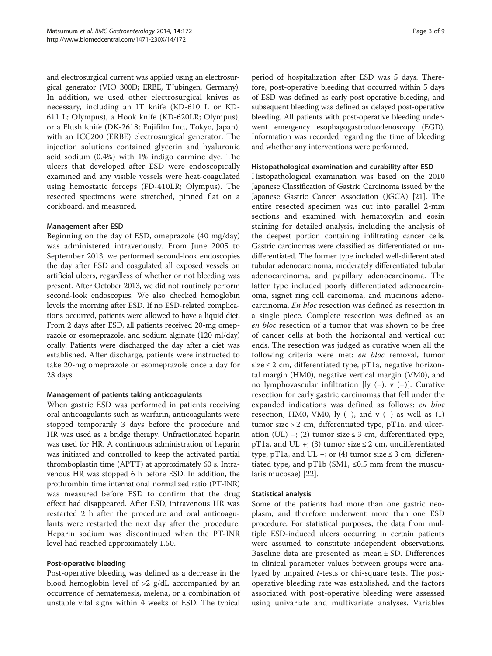and electrosurgical current was applied using an electrosurgical generator (VIO 300D; ERBE, T¨ubingen, Germany). In addition, we used other electrosurgical knives as necessary, including an IT knife (KD-610 L or KD-611 L; Olympus), a Hook knife (KD-620LR; Olympus), or a Flush knife (DK-2618; Fujifilm Inc., Tokyo, Japan), with an ICC200 (ERBE) electrosurgical generator. The injection solutions contained glycerin and hyaluronic acid sodium (0.4%) with 1% indigo carmine dye. The ulcers that developed after ESD were endoscopically examined and any visible vessels were heat-coagulated using hemostatic forceps (FD-410LR; Olympus). The resected specimens were stretched, pinned flat on a corkboard, and measured.

# Management after ESD

Beginning on the day of ESD, omeprazole (40 mg/day) was administered intravenously. From June 2005 to September 2013, we performed second-look endoscopies the day after ESD and coagulated all exposed vessels on artificial ulcers, regardless of whether or not bleeding was present. After October 2013, we did not routinely perform second-look endoscopies. We also checked hemoglobin levels the morning after ESD. If no ESD-related complications occurred, patients were allowed to have a liquid diet. From 2 days after ESD, all patients received 20-mg omeprazole or esomeprazole, and sodium alginate (120 ml/day) orally. Patients were discharged the day after a diet was established. After discharge, patients were instructed to take 20-mg omeprazole or esomeprazole once a day for 28 days.

# Management of patients taking anticoagulants

When gastric ESD was performed in patients receiving oral anticoagulants such as warfarin, anticoagulants were stopped temporarily 3 days before the procedure and HR was used as a bridge therapy. Unfractionated heparin was used for HR. A continuous administration of heparin was initiated and controlled to keep the activated partial thromboplastin time (APTT) at approximately 60 s. Intravenous HR was stopped 6 h before ESD. In addition, the prothrombin time international normalized ratio (PT-INR) was measured before ESD to confirm that the drug effect had disappeared. After ESD, intravenous HR was restarted 2 h after the procedure and oral anticoagulants were restarted the next day after the procedure. Heparin sodium was discontinued when the PT-INR level had reached approximately 1.50.

#### Post-operative bleeding

Post-operative bleeding was defined as a decrease in the blood hemoglobin level of  $>2$  g/dL accompanied by an occurrence of hematemesis, melena, or a combination of unstable vital signs within 4 weeks of ESD. The typical

period of hospitalization after ESD was 5 days. Therefore, post-operative bleeding that occurred within 5 days of ESD was defined as early post-operative bleeding, and subsequent bleeding was defined as delayed post-operative bleeding. All patients with post-operative bleeding underwent emergency esophagogastroduodenoscopy (EGD). Information was recorded regarding the time of bleeding and whether any interventions were performed.

#### Histopathological examination and curability after ESD

Histopathological examination was based on the 2010 Japanese Classification of Gastric Carcinoma issued by the Japanese Gastric Cancer Association (JGCA) [[21](#page-7-0)]. The entire resected specimen was cut into parallel 2-mm sections and examined with hematoxylin and eosin staining for detailed analysis, including the analysis of the deepest portion containing infiltrating cancer cells. Gastric carcinomas were classified as differentiated or undifferentiated. The former type included well-differentiated tubular adenocarcinoma, moderately differentiated tubular adenocarcinoma, and papillary adenocarcinoma. The latter type included poorly differentiated adenocarcinoma, signet ring cell carcinoma, and mucinous adenocarcinoma. En bloc resection was defined as resection in a single piece. Complete resection was defined as an en bloc resection of a tumor that was shown to be free of cancer cells at both the horizontal and vertical cut ends. The resection was judged as curative when all the following criteria were met: en bloc removal, tumor size  $\leq$  2 cm, differentiated type, pT1a, negative horizontal margin (HM0), negative vertical margin (VM0), and no lymphovascular infiltration [ly (−), v (−)]. Curative resection for early gastric carcinomas that fell under the expanded indications was defined as follows: en bloc resection, HM0, VM0, ly  $(-)$ , and v  $(-)$  as well as  $(1)$ tumor size  $> 2$  cm, differentiated type, pT1a, and ulceration (UL) –; (2) tumor size ≤ 3 cm, differentiated type, pT1a, and UL +; (3) tumor size  $\leq$  2 cm, undifferentiated type, pT1a, and UL -; or (4) tumor size  $\leq$  3 cm, differentiated type, and  $pT1b$  (SM1,  $\leq 0.5$  mm from the muscularis mucosae) [\[22](#page-7-0)].

#### Statistical analysis

Some of the patients had more than one gastric neoplasm, and therefore underwent more than one ESD procedure. For statistical purposes, the data from multiple ESD-induced ulcers occurring in certain patients were assumed to constitute independent observations. Baseline data are presented as mean ± SD. Differences in clinical parameter values between groups were analyzed by unpaired t-tests or chi-square tests. The postoperative bleeding rate was established, and the factors associated with post-operative bleeding were assessed using univariate and multivariate analyses. Variables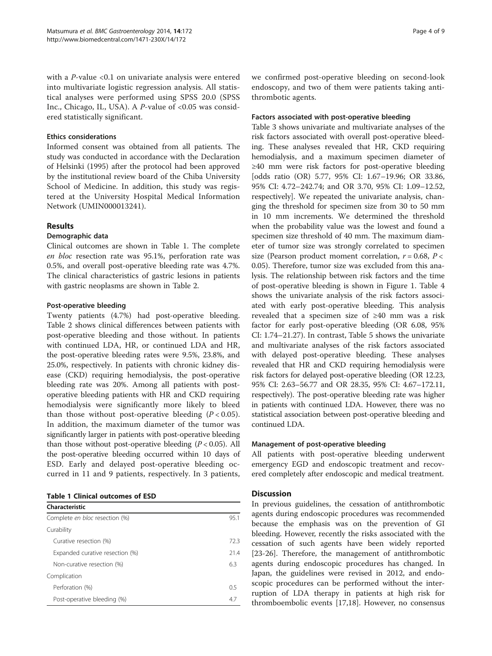with a P-value <0.1 on univariate analysis were entered into multivariate logistic regression analysis. All statistical analyses were performed using SPSS 20.0 (SPSS Inc., Chicago, IL, USA). A P-value of <0.05 was considered statistically significant.

## Ethics considerations

Informed consent was obtained from all patients. The study was conducted in accordance with the Declaration of Helsinki (1995) after the protocol had been approved by the institutional review board of the Chiba University School of Medicine. In addition, this study was registered at the University Hospital Medical Information Network (UMIN000013241).

# **Results**

# Demographic data

Clinical outcomes are shown in Table 1. The complete en bloc resection rate was 95.1%, perforation rate was 0.5%, and overall post-operative bleeding rate was 4.7%. The clinical characteristics of gastric lesions in patients with gastric neoplasms are shown in Table [2.](#page-4-0)

#### Post-operative bleeding

Twenty patients (4.7%) had post-operative bleeding. Table [2](#page-4-0) shows clinical differences between patients with post-operative bleeding and those without. In patients with continued LDA, HR, or continued LDA and HR, the post-operative bleeding rates were 9.5%, 23.8%, and 25.0%, respectively. In patients with chronic kidney disease (CKD) requiring hemodialysis, the post-operative bleeding rate was 20%. Among all patients with postoperative bleeding patients with HR and CKD requiring hemodialysis were significantly more likely to bleed than those without post-operative bleeding  $(P < 0.05)$ . In addition, the maximum diameter of the tumor was significantly larger in patients with post-operative bleeding than those without post-operative bleeding  $(P < 0.05)$ . All the post-operative bleeding occurred within 10 days of ESD. Early and delayed post-operative bleeding occurred in 11 and 9 patients, respectively. In 3 patients,

|  |  |  | <b>Table 1 Clinical outcomes of ESD</b> |  |  |
|--|--|--|-----------------------------------------|--|--|
|--|--|--|-----------------------------------------|--|--|

| Characteristic                  |      |
|---------------------------------|------|
| Complete en bloc resection (%)  | 95.1 |
| Curability                      |      |
| Curative resection (%)          | 72.3 |
| Expanded curative resection (%) | 21.4 |
| Non-curative resection (%)      | 6.3  |
| Complication                    |      |
| Perforation (%)                 | 0.5  |
| Post-operative bleeding (%)     | 4.7  |

we confirmed post-operative bleeding on second-look endoscopy, and two of them were patients taking antithrombotic agents.

#### Factors associated with post-operative bleeding

Table [3](#page-5-0) shows univariate and multivariate analyses of the risk factors associated with overall post-operative bleeding. These analyses revealed that HR, CKD requiring hemodialysis, and a maximum specimen diameter of ≥40 mm were risk factors for post-operative bleeding [odds ratio (OR) 5.77, 95% CI: 1.67–19.96; OR 33.86, 95% CI: 4.72–242.74; and OR 3.70, 95% CI: 1.09–12.52, respectively]. We repeated the univariate analysis, changing the threshold for specimen size from 30 to 50 mm in 10 mm increments. We determined the threshold when the probability value was the lowest and found a specimen size threshold of 40 mm. The maximum diameter of tumor size was strongly correlated to specimen size (Pearson product moment correlation,  $r = 0.68$ ,  $P <$ 0.05). Therefore, tumor size was excluded from this analysis. The relationship between risk factors and the time of post-operative bleeding is shown in Figure [1](#page-5-0). Table [4](#page-6-0) shows the univariate analysis of the risk factors associated with early post-operative bleeding. This analysis revealed that a specimen size of ≥40 mm was a risk factor for early post-operative bleeding (OR 6.08, 95% CI: 1.74–21.27). In contrast, Table [5](#page-6-0) shows the univariate and multivariate analyses of the risk factors associated with delayed post-operative bleeding. These analyses revealed that HR and CKD requiring hemodialysis were risk factors for delayed post-operative bleeding (OR 12.23, 95% CI: 2.63–56.77 and OR 28.35, 95% CI: 4.67–172.11, respectively). The post-operative bleeding rate was higher in patients with continued LDA. However, there was no statistical association between post-operative bleeding and continued LDA.

#### Management of post-operative bleeding

All patients with post-operative bleeding underwent emergency EGD and endoscopic treatment and recovered completely after endoscopic and medical treatment.

#### **Discussion**

In previous guidelines, the cessation of antithrombotic agents during endoscopic procedures was recommended because the emphasis was on the prevention of GI bleeding. However, recently the risks associated with the cessation of such agents have been widely reported [[23-26](#page-7-0)]. Therefore, the management of antithrombotic agents during endoscopic procedures has changed. In Japan, the guidelines were revised in 2012, and endoscopic procedures can be performed without the interruption of LDA therapy in patients at high risk for thromboembolic events [[17](#page-7-0),[18](#page-7-0)]. However, no consensus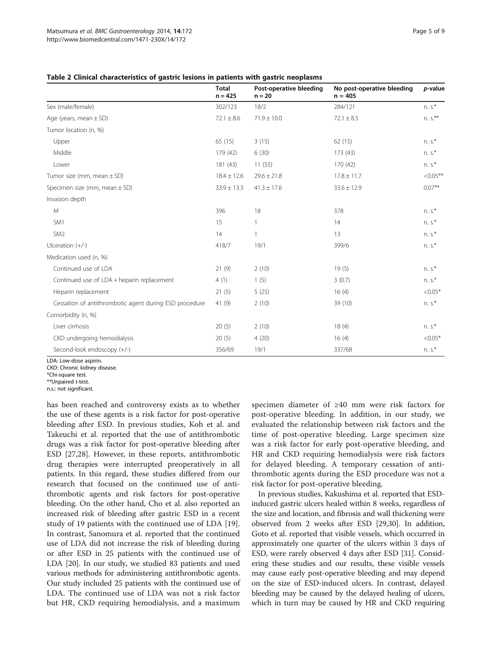|                                                        | <b>Total</b><br>$n = 425$ | Post-operative bleeding<br>$n = 20$ | No post-operative bleeding<br>$n = 405$ | p-value     |
|--------------------------------------------------------|---------------------------|-------------------------------------|-----------------------------------------|-------------|
| Sex (male/female)                                      | 302/123                   | 18/2                                | 284/121                                 | $n. s.*$    |
| Age (years, mean $\pm$ SD)                             | $72.1 \pm 8.6$            | $71.9 \pm 10.0$                     | $72.1 \pm 8.5$                          | $n. s.**$   |
| Tumor location (n, %)                                  |                           |                                     |                                         |             |
| Upper                                                  | 65(15)                    | 3(15)                               | 62(15)                                  | $n. s.*$    |
| Middle                                                 | 179 (42)                  | 6(30)                               | 173 (43)                                | $n. s.*$    |
| Lower                                                  | 181(43)                   | 11(55)                              | 170 (42)                                | $n. s.*$    |
| Tumor size (mm, mean $\pm$ SD)                         | $18.4 \pm 12.6$           | $29.6 \pm 21.8$                     | $17.8 \pm 11.7$                         | $< 0.05***$ |
| Specimen size (mm, mean $\pm$ SD)                      | $33.9 \pm 13.3$           | $41.3 \pm 17.6$                     | $33.6 \pm 12.9$                         | $0.07***$   |
| Invasion depth                                         |                           |                                     |                                         |             |
| M                                                      | 396                       | 18                                  | 378                                     | $n. s.*$    |
| SM1                                                    | 15                        | $\mathbf{1}$                        | 14                                      | $n. s.*$    |
| SM <sub>2</sub>                                        | 14                        | $\mathbf{1}$                        | 13                                      | $n. s.*$    |
| Ulceration $(+/-)$                                     | 418/7                     | 19/1                                | 399/6                                   | $n. s.*$    |
| Medication used (n, %)                                 |                           |                                     |                                         |             |
| Continued use of LDA                                   | 21(9)                     | 2(10)                               | 19(5)                                   | $n. s.*$    |
| Continued use of LDA + heparin replacement             | 4(1)                      | 1(5)                                | 3(0.7)                                  | $n. s.*$    |
| Heparin replacement                                    | 21(5)                     | 5(25)                               | 16(4)                                   | $< 0.05*$   |
| Cessation of antithrombotic agent during ESD procedure | 41(9)                     | 2(10)                               | 39 (10)                                 | $n. s.*$    |
| Comorbidity (n, %)                                     |                           |                                     |                                         |             |
| Liver cirrhosis                                        | 20(5)                     | 2(10)                               | 18(4)                                   | $n. s.*$    |
| CKD undergoing hemodialysis                            | 20(5)                     | 4(20)                               | 16(4)                                   | $< 0.05*$   |
| Second-look endoscopy (+/-)                            | 356/69                    | 19/1                                | 337/68                                  | $n. s.*$    |

<span id="page-4-0"></span>

| Table 2 Clinical characteristics of gastric lesions in patients with gastric neoplasms |  |  |  |  |
|----------------------------------------------------------------------------------------|--|--|--|--|
|----------------------------------------------------------------------------------------|--|--|--|--|

LDA: Low-dose aspirin.

CKD: Chronic kidney disease.

\*Chi-square test.

\*\*Unpaired t-test. n.s.: not significant.

has been reached and controversy exists as to whether the use of these agents is a risk factor for post-operative bleeding after ESD. In previous studies, Koh et al. and Takeuchi et al. reported that the use of antithrombotic drugs was a risk factor for post-operative bleeding after ESD [[27,28\]](#page-7-0). However, in these reports, antithrombotic drug therapies were interrupted preoperatively in all patients. In this regard, these studies differed from our research that focused on the continued use of antithrombotic agents and risk factors for post-operative bleeding. On the other hand, Cho et al. also reported an increased risk of bleeding after gastric ESD in a recent study of 19 patients with the continued use of LDA [\[19](#page-7-0)]. In contrast, Sanomura et al. reported that the continued use of LDA did not increase the risk of bleeding during or after ESD in 25 patients with the continued use of LDA [[20](#page-7-0)]. In our study, we studied 83 patients and used various methods for administering antithrombotic agents. Our study included 25 patients with the continued use of LDA. The continued use of LDA was not a risk factor but HR, CKD requiring hemodialysis, and a maximum

specimen diameter of ≥40 mm were risk factors for post-operative bleeding. In addition, in our study, we evaluated the relationship between risk factors and the time of post-operative bleeding. Large specimen size was a risk factor for early post-operative bleeding, and HR and CKD requiring hemodialysis were risk factors for delayed bleeding. A temporary cessation of antithrombotic agents during the ESD procedure was not a risk factor for post-operative bleeding.

In previous studies, Kakushima et al. reported that ESDinduced gastric ulcers healed within 8 weeks, regardless of the size and location, and fibrosis and wall thickening were observed from 2 weeks after ESD [\[29,30\]](#page-8-0). In addition, Goto et al. reported that visible vessels, which occurred in approximately one quarter of the ulcers within 3 days of ESD, were rarely observed 4 days after ESD [[31](#page-8-0)]. Considering these studies and our results, these visible vessels may cause early post-operative bleeding and may depend on the size of ESD-induced ulcers. In contrast, delayed bleeding may be caused by the delayed healing of ulcers, which in turn may be caused by HR and CKD requiring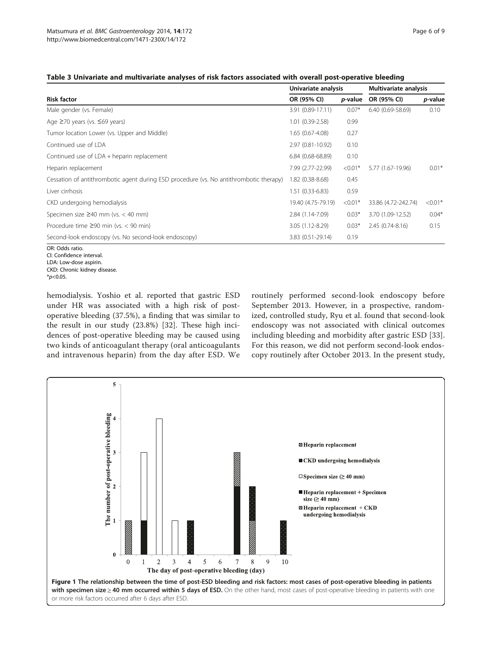|                                                                                        | Univariate analysis |                 | Multivariate analysis |           |
|----------------------------------------------------------------------------------------|---------------------|-----------------|-----------------------|-----------|
| <b>Risk factor</b>                                                                     | OR (95% CI)         | <i>p</i> -value | OR (95% CI)           | p-value   |
| Male gender (vs. Female)                                                               | 3.91 (0.89-17.11)   | $0.07*$         | $6.40(0.69 - 58.69)$  | 0.10      |
| Age $\geq$ 70 years (vs. $\leq$ 69 years)                                              | $1.01(0.39-2.58)$   | 0.99            |                       |           |
| Tumor location Lower (vs. Upper and Middle)                                            | 1.65 (0.67-4.08)    | 0.27            |                       |           |
| Continued use of LDA                                                                   | 2.97 (0.81-10.92)   | 0.10            |                       |           |
| Continued use of LDA + heparin replacement                                             | $6.84(0.68-68.89)$  | 0.10            |                       |           |
| Heparin replacement                                                                    | 7.99 (2.77-22.99)   | $< 0.01*$       | 5.77 (1.67-19.96)     | $0.01*$   |
| Cessation of antithrombotic agent during ESD procedure (vs. No antithrombotic therapy) | 82 (0.38-8.68)      | 0.45            |                       |           |
| Liver cirrhosis                                                                        | $1.51(0.33 - 6.83)$ | 0.59            |                       |           |
| CKD undergoing hemodialysis                                                            | 19.40 (4.75-79.19)  | $< 0.01*$       | 33.86 (4.72-242.74)   | $< 0.01*$ |
| Specimen size $\geq$ 40 mm (vs. < 40 mm)                                               | 2.84 (1.14-7.09)    | $0.03*$         | 3.70 (1.09-12.52)     | $0.04*$   |
| Procedure time $\geq$ 90 min (vs. < 90 min)                                            | 3.05 (1.12-8.29)    | $0.03*$         | 2.45 (0.74-8.16)      | 0.15      |
| Second-look endoscopy (vs. No second-look endoscopy)                                   | 3.83 (0.51-29.14)   | 0.19            |                       |           |
| OR: Odds ratio                                                                         |                     |                 |                       |           |

#### <span id="page-5-0"></span>Table 3 Univariate and multivariate analyses of risk factors associated with overall post-operative bleeding

OR: Odds ratio. CI: Confidence interval. LDA: Low-dose aspirin. CKD: Chronic kidney disease.  $*_{p<0.05}$ .

hemodialysis. Yoshio et al. reported that gastric ESD under HR was associated with a high risk of postoperative bleeding (37.5%), a finding that was similar to the result in our study (23.8%) [\[32](#page-8-0)]. These high incidences of post-operative bleeding may be caused using two kinds of anticoagulant therapy (oral anticoagulants and intravenous heparin) from the day after ESD. We routinely performed second-look endoscopy before September 2013. However, in a prospective, randomized, controlled study, Ryu et al. found that second-look endoscopy was not associated with clinical outcomes including bleeding and morbidity after gastric ESD [\[33](#page-8-0)]. For this reason, we did not perform second-look endoscopy routinely after October 2013. In the present study,

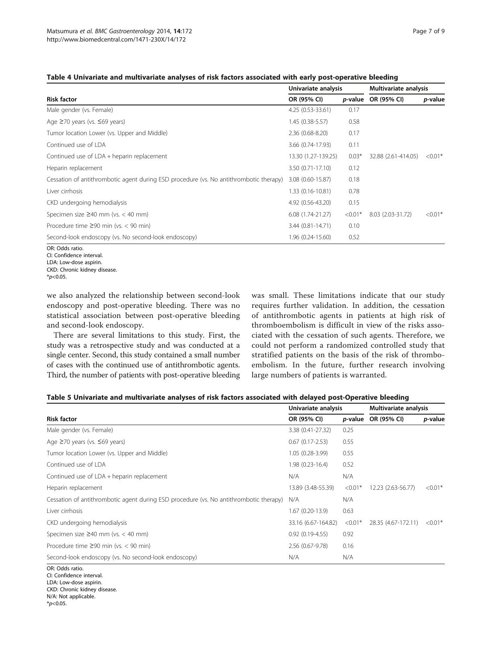|                                                                                        | Univariate analysis  |                 | Multivariate analysis |           |
|----------------------------------------------------------------------------------------|----------------------|-----------------|-----------------------|-----------|
| <b>Risk factor</b>                                                                     | OR (95% CI)          | <i>p</i> -value | OR (95% CI)           | p-value   |
| Male gender (vs. Female)                                                               | 4.25 (0.53-33.61)    | 0.17            |                       |           |
| Age $\geq$ 70 years (vs. $\leq$ 69 years)                                              | $1.45(0.38 - 5.57)$  | 0.58            |                       |           |
| Tumor location Lower (vs. Upper and Middle)                                            | 2.36 (0.68-8.20)     | 0.17            |                       |           |
| Continued use of LDA                                                                   | 3.66 (0.74-17.93)    | 0.11            |                       |           |
| Continued use of LDA + heparin replacement                                             | 13.30 (1.27-139.25)  | $0.03*$         | 32.88 (2.61-414.05)   | $< 0.01*$ |
| Heparin replacement                                                                    | 3.50 (0.71-17.10)    | 0.12            |                       |           |
| Cessation of antithrombotic agent during ESD procedure (vs. No antithrombotic therapy) | 3.08 (0.60-15.87)    | 0.18            |                       |           |
| Liver cirrhosis                                                                        | $1.33(0.16 - 10.81)$ | 0.78            |                       |           |
| CKD undergoing hemodialysis                                                            | 4.92 (0.56-43.20)    | 0.15            |                       |           |
| Specimen size $\geq$ 40 mm (vs. < 40 mm)                                               | $6.08(1.74-21.27)$   | $< 0.01*$       | 8.03 (2.03-31.72)     | $< 0.01*$ |
| Procedure time $\geq 90$ min (vs. < 90 min)                                            | 3.44 (0.81-14.71)    | 0.10            |                       |           |
| Second-look endoscopy (vs. No second-look endoscopy)                                   | 1.96 (0.24-15.60)    | 0.52            |                       |           |
| $\sim$ $\sim$ $\sim$ $\sim$                                                            |                      |                 |                       |           |

#### <span id="page-6-0"></span>Table 4 Univariate and multivariate analyses of risk factors associated with early post-operative bleeding

OR: Odds ratio. CI: Confidence interval. LDA: Low-dose aspirin. CKD: Chronic kidney disease.  $*_{p<0.05}$ .

we also analyzed the relationship between second-look endoscopy and post-operative bleeding. There was no statistical association between post-operative bleeding and second-look endoscopy.

There are several limitations to this study. First, the study was a retrospective study and was conducted at a single center. Second, this study contained a small number of cases with the continued use of antithrombotic agents. Third, the number of patients with post-operative bleeding was small. These limitations indicate that our study requires further validation. In addition, the cessation of antithrombotic agents in patients at high risk of thromboembolism is difficult in view of the risks associated with the cessation of such agents. Therefore, we could not perform a randomized controlled study that stratified patients on the basis of the risk of thromboembolism. In the future, further research involving large numbers of patients is warranted.

#### Table 5 Univariate and multivariate analyses of risk factors associated with delayed post-Operative bleeding

|                                                                                        | Univariate analysis | Multivariate analysis |                     |                 |
|----------------------------------------------------------------------------------------|---------------------|-----------------------|---------------------|-----------------|
| <b>Risk factor</b>                                                                     | OR (95% CI)         | <i>p</i> -value       | OR (95% CI)         | <i>p</i> -value |
| Male gender (vs. Female)                                                               | 3.38 (0.41-27.32)   | 0.25                  |                     |                 |
| Age $\geq$ 70 years (vs. $\leq$ 69 years)                                              | $0.67(0.17 - 2.53)$ | 0.55                  |                     |                 |
| Tumor location Lower (vs. Upper and Middle)                                            | 1.05 (0.28-3.99)    | 0.55                  |                     |                 |
| Continued use of LDA                                                                   | $1.98(0.23-16.4)$   | 0.52                  |                     |                 |
| Continued use of LDA + heparin replacement                                             | N/A                 | N/A                   |                     |                 |
| Heparin replacement                                                                    | 13.89 (3.48-55.39)  | $< 0.01*$             | 12.23 (2.63-56.77)  | $< 0.01*$       |
| Cessation of antithrombotic agent during ESD procedure (vs. No antithrombotic therapy) | N/A                 | N/A                   |                     |                 |
| Liver cirrhosis                                                                        | $1.67(0.20-13.9)$   | 0.63                  |                     |                 |
| CKD undergoing hemodialysis                                                            | 33.16 (6.67-164.82) | $< 0.01*$             | 28.35 (4.67-172.11) | $< 0.01*$       |
| Specimen size $\geq$ 40 mm (vs. < 40 mm)                                               | $0.92(0.19-4.55)$   | 0.92                  |                     |                 |
| Procedure time $\geq 90$ min (vs. < 90 min)                                            | 2.56 (0.67-9.78)    | 0.16                  |                     |                 |
| Second-look endoscopy (vs. No second-look endoscopy)                                   | N/A                 | N/A                   |                     |                 |

OR: Odds ratio. CI: Confidence interval. LDA: Low-dose aspirin. CKD: Chronic kidney disease. N/A: Not applicable.  $*_{p<0.05}$ .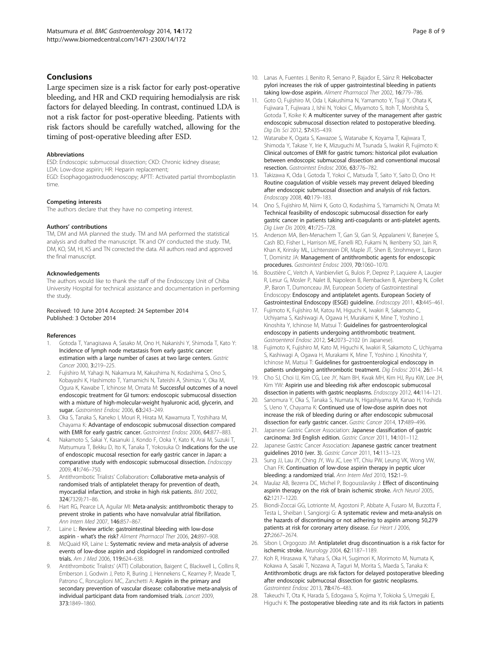#### <span id="page-7-0"></span>Conclusions

Large specimen size is a risk factor for early post-operative bleeding, and HR and CKD requiring hemodialysis are risk factors for delayed bleeding. In contrast, continued LDA is not a risk factor for post-operative bleeding. Patients with risk factors should be carefully watched, allowing for the timing of post-operative bleeding after ESD.

#### Abbreviations

ESD: Endoscopic submucosal dissection; CKD: Chronic kidney disease;

LDA: Low-dose aspirin; HR: Heparin replacement; EGD: Esophagogastroduodenoscopy; APTT: Activated partial thromboplastin time.

#### Competing interests

The authors declare that they have no competing interest.

#### Authors' contributions

TM, DM and MA planned the study. TM and MA performed the statistical analysis and drafted the manuscript. TK and OY conducted the study. TM, DM, KO, SM, HI, KS and TN corrected the data. All authors read and approved the final manuscript.

#### Acknowledgements

The authors would like to thank the staff of the Endoscopy Unit of Chiba University Hospital for technical assistance and documentation in performing the study.

#### Received: 10 June 2014 Accepted: 24 September 2014 Published: 3 October 2014

#### References

- 1. Gotoda T, Yanagisawa A, Sasako M, Ono H, Nakanishi Y, Shimoda T, Kato Y: Incidence of lymph node metastasis from early gastric cancer: estimation with a large number of cases at two large centers. Gastric Cancer 2000, 3:219–225.
- 2. Fujishiro M, Yahagi N, Nakamura M, Kakushima N, Kodashima S, Ono S, Kobayashi K, Hashimoto T, Yamamichi N, Tateishi A, Shimizu Y, Oka M, Ogura K, Kawabe T, Ichinose M, Omata M: Successful outcomes of a novel endoscopic treatment for GI tumors: endoscopic submucosal dissection with a mixture of high-molecular-weight hyaluronic acid, glycerin, and sugar. Gastrointest Endosc 2006, 63:243–249.
- 3. Oka S, Tanaka S, Kaneko I, Mouri R, Hirata M, Kawamura T, Yoshihara M, Chayama K: Advantage of endoscopic submucosal dissection compared with EMR for early gastric cancer. Gastrointest Endosc 2006, 64:877–883.
- 4. Nakamoto S, Sakai Y, Kasanuki J, Kondo F, Ooka Y, Kato K, Arai M, Suzuki T, Matsumura T, Bekku D, Ito K, Tanaka T, Yokosuka O: Indications for the use of endoscopic mucosal resection for early gastric cancer in Japan: a comparative study with endoscopic submucosal dissection. Endoscopy 2009, 41:746–750.
- Antithrombotic Trialists' Collaboration: Collaborative meta-analysis of randomised trials of antiplatelet therapy for prevention of death, myocardial infarction, and stroke in high risk patients. BMJ 2002, 324(7329):71–86.
- 6. Hart RG, Pearce LA, Aguilar MI: Meta-analysis: antithrombotic therapy to prevent stroke in patients who have nonvalvular atrial fibrillation. Ann Intern Med 2007, 146:857–867.
- 7. Laine L: Review article: gastrointestinal bleeding with low-dose aspirin - what's the risk? Aliment Pharmacol Ther 2006, 24:897–908.
- 8. McQuaid KR, Laine L: Systematic review and meta-analysis of adverse events of low-dose aspirin and clopidogrel in randomized controlled trials. Am J Med 2006, 119:624–638.
- Antithrombotic Trialists' (ATT) Collaboration, Baigent C, Blackwell L, Collins R, Emberson J, Godwin J, Peto R, Buring J, Hennekens C, Kearney P, Meade T, Patrono C, Roncaglioni MC, Zanchetti A: Aspirin in the primary and secondary prevention of vascular disease: collaborative meta-analysis of individual participant data from randomised trials. Lancet 2009, 373:1849–1860.
- 
- 10. Lanas A, Fuentes J, Benito R, Serrano P, Bajador E, Sáinz R: Helicobacter pylori increases the risk of upper gastrointestinal bleeding in patients taking low-dose aspirin. Aliment Pharmacol Ther 2002, 16:779–786.
- 11. Goto O, Fujishiro M, Oda I, Kakushima N, Yamamoto Y, Tsuji Y, Ohata K, Fujiwara T, Fujiwara J, Ishii N, Yokoi C, Miyamoto S, Itoh T, Morishita S, Gotoda T, Koike K: A multicenter survey of the management after gastric endoscopic submucosal dissection related to postoperative bleeding. Dig Dis Sci 2012, 57:435–439.
- 12. Watanabe K, Ogata S, Kawazoe S, Watanabe K, Koyama T, Kajiwara T, Shimoda Y, Takase Y, Irie K, Mizuguchi M, Tsunada S, Iwakiri R, Fujimoto K: Clinical outcomes of EMR for gastric tumors: historical pilot evaluation between endoscopic submucosal dissection and conventional mucosal resection. Gastrointest Endosc 2006, 63:776–782.
- 13. Takizawa K, Oda I, Gotoda T, Yokoi C, Matsuda T, Saito Y, Saito D, Ono H: Routine coagulation of visible vessels may prevent delayed bleeding after endoscopic submucosal dissection and analysis of risk factors. Endoscopy 2008, 40:179–183.
- 14. Ono S, Fujishiro M, Niimi K, Goto O, Kodashima S, Yamamichi N, Omata M: Technical feasibility of endoscopic submucosal dissection for early gastric cancer in patients taking anti-coagulants or anti-platelet agents. Dig Liver Dis 2009, 41:725–728.
- 15. Anderson MA, Ben-Menachem T, Gan SI, Gan SI, Appalaneni V, Banerjee S, Cash BD, Fisher L, Harrison ME, Fanelli RD, Fukami N, Ikenberry SO, Jain R, Khan K, Krinsky ML, Lichtenstein DR, Maple JT, Shen B, Strohmeyer L, Baron T, Dominitz JA: Management of antithrombotic agents for endoscopic procedures. Gastrointest Endosc 2009, 70:1060–1070.
- 16. Boustière C, Veitch A, Vanbiervliet G, Bulois P, Deprez P, Laquiere A, Laugier R, Lesur G, Mosler P, Nalet B, Napoleon B, Rembacken B, Ajzenberg N, Collet JP, Baron T, Dumonceau JM, European Society of Gastrointestinal Endoscopy: Endoscopy and antiplatelet agents. European Society of Gastrointestinal Endoscopy (ESGE) guideline. Endoscopy 2011, 43:445–461.
- 17. Fujimoto K, Fujishiro M, Katou M, Higuchi K, Iwakiri R, Sakamoto C, Uchiyama S, Kashiwagi A, Ogawa H, Murakami K, Mine T, Yoshino J, Kinoshita Y, Ichinose M, Matsui T: Guidelines for gastroenterological endoscopy in patients undergoing antithrombotic treatment. Gastroenterol Endosc 2012, 54:2073–2102 (in Japanese).
- 18. Fujimoto K, Fujishiro M, Kato M, Higuchi K, Iwakiri R, Sakamoto C, Uchiyama S, Kashiwagi A, Ogawa H, Murakami K, Mine T, Yoshino J, Kinoshita Y, Ichinose M, Matsui T: Guidelines for gastroenterological endoscopy in patients undergoing antithrombotic treatment. Dig Endosc 2014, 26:1-14.
- 19. Cho SJ, Choi IJ, Kim CG, Lee JY, Nam BH, Kwak MH, Kim HJ, Ryu KW, Lee JH, Kim YW: Aspirin use and bleeding risk after endoscopic submucosal dissection in patients with gastric neoplasms. Endoscopy 2012, 44:114–121.
- 20. Sanomura Y, Oka S, Tanaka S, Numata N, Higashiyama M, Kanao H, Yoshida S, Ueno Y, Chayama K: Continued use of low-dose aspirin does not increase the risk of bleeding during or after endoscopic submucosal dissection for early gastric cancer. Gastric Cancer 2014, 17:489–496.
- 21. Japanese Gastric Cancer Association: Japanese classification of gastric carcinoma: 3rd English edition. Gastric Cancer 2011, 14:101–112.
- 22. Japanese Gastric Cancer Association: Japanese gastric cancer treatment guidelines 2010 (ver. 3). Gastric Cancer 2011, 14:113–123.
- 23. Sung JJ, Lau JY, Ching JY, Wu JC, Lee YT, Chiu PW, Leung VK, Wong VW, Chan FK: Continuation of low-dose aspirin therapy in peptic ulcer bleeding: a randomized trial. Ann Intern Med 2010, 152:1–9.
- 24. Maulaz AB, Bezerra DC, Michel P, Bogousslavsky J: Effect of discontinuing aspirin therapy on the risk of brain ischemic stroke. Arch Neurol 2005, 62:1217–1220.
- 25. Biondi-Zoccai GG, Lotrionte M, Agostoni P, Abbate A, Fusaro M, Burzotta F, Testa L, Sheiban I, Sangiorgi G: A systematic review and meta-analysis on the hazards of discontinuing or not adhering to aspirin among 50,279 patients at risk for coronary artery disease. Eur Heart J 2006, 27:2667–2674.
- 26. Sibon I, Orgogozo JM: Antiplatelet drug discontinuation is a risk factor for ischemic stroke. Neurology 2004, 62:1187–1189.
- 27. Koh R, Hirasawa K, Yahara S, Oka H, Sugimori K, Morimoto M, Numata K, Kokawa A, Sasaki T, Nozawa A, Taguri M, Morita S, Maeda S, Tanaka K: Antithrombotic drugs are risk factors for delayed postoperative bleeding after endoscopic submucosal dissection for gastric neoplasms. Gastrointest Endosc 2013, 78:476–483.
- 28. Takeuchi T, Ota K, Harada S, Edogawa S, Kojima Y, Tokioka S, Umegaki E, Higuchi K: The postoperative bleeding rate and its risk factors in patients